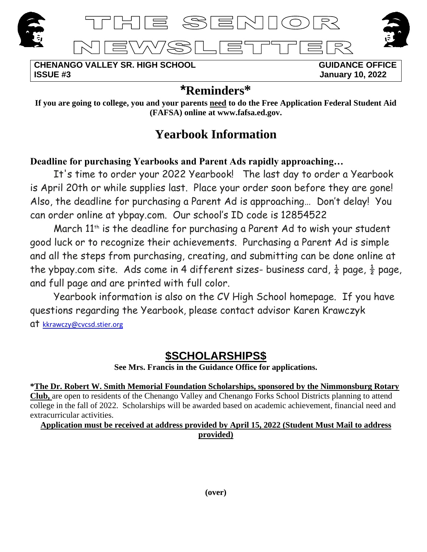





**CHENANGO VALLEY SR. HIGH SCHOOL GUIDANCE OFFICE ISSUE #3 January 10, 2022**

# **\*Reminders\***

**If you are going to college, you and your parents need to do the Free Application Federal Student Aid (FAFSA) online at www.fafsa.ed.gov.**

# **Yearbook Information**

# **Deadline for purchasing Yearbooks and Parent Ads rapidly approaching…**

It's time to order your 2022 Yearbook! The last day to order a Yearbook is April 20th or while supplies last. Place your order soon before they are gone! Also, the deadline for purchasing a Parent Ad is approaching… Don't delay! You can order online at ybpay.com. Our school's ID code is 12854522

March 11<sup>th</sup> is the deadline for purchasing a Parent Ad to wish your student good luck or to recognize their achievements. Purchasing a Parent Ad is simple and all the steps from purchasing, creating, and submitting can be done online at the ybpay.com site. Ads come in 4 different sizes- business card,  $\frac{1}{4}$  page,  $\frac{1}{2}$  page, and full page and are printed with full color.

Yearbook information is also on the CV High School homepage. If you have questions regarding the Yearbook, please contact advisor Karen Krawczyk at [kkrawczy@cvcsd.stier.org](mailto:cruf@cvcsd.stier.org)

# **\$SCHOLARSHIPS\$**

**See Mrs. Francis in the Guidance Office for applications.**

**\*The Dr. Robert W. Smith Memorial Foundation Scholarships, sponsored by the Nimmonsburg Rotary Club,** are open to residents of the Chenango Valley and Chenango Forks School Districts planning to attend college in the fall of 2022. Scholarships will be awarded based on academic achievement, financial need and extracurricular activities.

**Application must be received at address provided by April 15, 2022 (Student Must Mail to address provided)**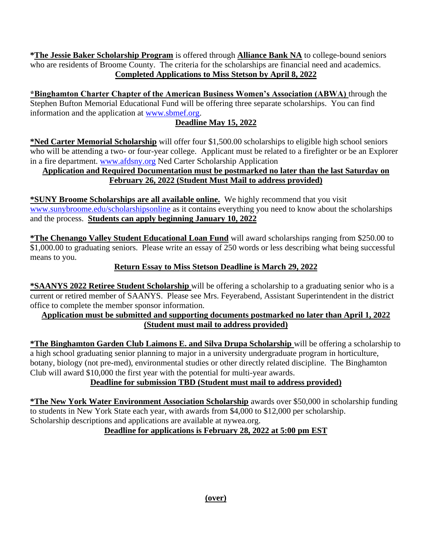**\*The Jessie Baker Scholarship Program** is offered through **Alliance Bank NA** to college-bound seniors who are residents of Broome County. The criteria for the scholarships are financial need and academics. **Completed Applications to Miss Stetson by April 8, 2022**

**\*Binghamton Charter Chapter of the American Business Women's Association (ABWA)** through the Stephen Bufton Memorial Educational Fund will be offering three separate scholarships. You can find information and the application at [www.sbmef.org.](http://www.sbmef.org/)

# **Deadline May 15, 2022**

**\*Ned Carter Memorial Scholarship** will offer four \$1,500.00 scholarships to eligible high school seniors who will be attending a two- or four-year college. Applicant must be related to a firefighter or be an Explorer in a fire department. [www.afdsny.org](http://www.afdsny.org/) Ned Carter Scholarship Application

#### **Application and Required Documentation must be postmarked no later than the last Saturday on February 26, 2022 (Student Must Mail to address provided)**

**\*SUNY Broome Scholarships are all available online.** We highly recommend that you visit [www.sunybroome.edu/scholarshipsonline](http://www.sunybroome.edu/scholarshipsonline) as it contains everything you need to know about the scholarships and the process. **Students can apply beginning January 10, 2022**

**\*The Chenango Valley Student Educational Loan Fund** will award scholarships ranging from \$250.00 to \$1,000.00 to graduating seniors. Please write an essay of 250 words or less describing what being successful means to you.

# **Return Essay to Miss Stetson Deadline is March 29, 2022**

**\*SAANYS 2022 Retiree Student Scholarship** will be offering a scholarship to a graduating senior who is a current or retired member of SAANYS. Please see Mrs. Feyerabend, Assistant Superintendent in the district office to complete the member sponsor information.

#### **Application must be submitted and supporting documents postmarked no later than April 1, 2022 (Student must mail to address provided)**

**\*The Binghamton Garden Club Laimons E. and Silva Drupa Scholarship** will be offering a scholarship to a high school graduating senior planning to major in a university undergraduate program in horticulture, botany, biology (not pre-med), environmental studies or other directly related discipline. The Binghamton Club will award \$10,000 the first year with the potential for multi-year awards.

# **Deadline for submission TBD (Student must mail to address provided)**

**\*The New York Water Environment Association Scholarship** awards over \$50,000 in scholarship funding to students in New York State each year, with awards from \$4,000 to \$12,000 per scholarship. Scholarship descriptions and applications are available at nywea.org.

# **Deadline for applications is February 28, 2022 at 5:00 pm EST**